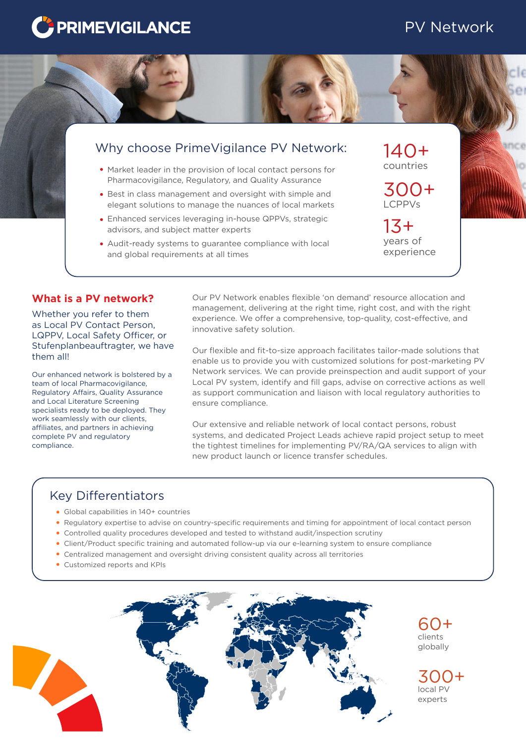# **PRIMEVIGILANCE**

# PV Network



# Why choose PrimeVigilance PV Network:

- Market leader in the provision of local contact persons for Pharmacovigilance, Regulatory, and Quality Assurance
- Best in class management and oversight with simple and elegant solutions to manage the nuances of local markets
- Enhanced services leveraging in-house QPPVs, strategic advisors, and subject matter experts
- Audit-ready systems to guarantee compliance with local and global requirements at all times

countries 140+

LCPPVs 300+

years of experience 13+

### **What is a PV network?**

Whether you refer to them as Local PV Contact Person, LQPPV, Local Safety Officer, or Stufenplanbeauftragter, we have them all!

Our enhanced network is bolstered by a team of local Pharmacovigilance, Regulatory Affairs, Quality Assurance and Local Literature Screening specialists ready to be deployed. They work seamlessly with our clients, affiliates, and partners in achieving complete PV and regulatory compliance.

Our PV Network enables flexible 'on demand' resource allocation and management, delivering at the right time, right cost, and with the right experience. We offer a comprehensive, top-quality, cost-effective, and innovative safety solution.

Our flexible and fit-to-size approach facilitates tailor-made solutions that enable us to provide you with customized solutions for post-marketing PV Network services. We can provide preinspection and audit support of your Local PV system, identify and fill gaps, advise on corrective actions as well as support communication and liaison with local regulatory authorities to ensure compliance.

Our extensive and reliable network of local contact persons, robust systems, and dedicated Project Leads achieve rapid project setup to meet the tightest timelines for implementing PV/RA/QA services to align with new product launch or licence transfer schedules.

## Key Differentiators

- Global capabilities in 140+ countries
- Regulatory expertise to advise on country-specific requirements and timing for appointment of local contact person
- Controlled quality procedures developed and tested to withstand audit/inspection scrutiny
- Client/Product specific training and automated follow-up via our e-learning system to ensure compliance
- Centralized management and oversight driving consistent quality across all territories
- Customized reports and KPIs